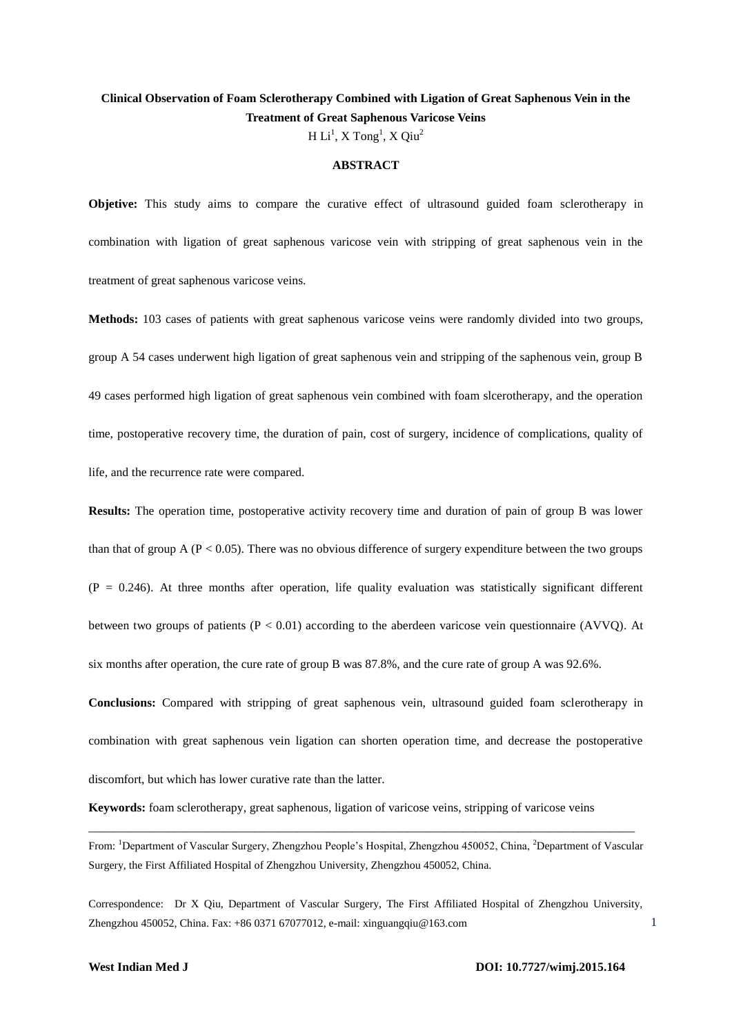# **Clinical Observation of Foam Sclerotherapy Combined with Ligation of Great Saphenous Vein in the Treatment of Great Saphenous Varicose Veins**

H  $\mathrm{Li}^1$ , X  $\mathrm{Tong}^1$ , X  $\mathrm{Qiu}^2$ 

#### **ABSTRACT**

**Objetive:** This study aims to compare the curative effect of ultrasound guided foam sclerotherapy in combination with ligation of great saphenous varicose vein with stripping of great saphenous vein in the treatment of great saphenous varicose veins.

**Methods:** 103 cases of patients with great saphenous varicose veins were randomly divided into two groups, group A 54 cases underwent high ligation of great saphenous vein and stripping of the saphenous vein, group B 49 cases performed high ligation of great saphenous vein combined with foam slcerotherapy, and the operation time, postoperative recovery time, the duration of pain, cost of surgery, incidence of complications, quality of life, and the recurrence rate were compared.

**Results:** The operation time, postoperative activity recovery time and duration of pain of group B was lower than that of group A ( $P < 0.05$ ). There was no obvious difference of surgery expenditure between the two groups  $(P = 0.246)$ . At three months after operation, life quality evaluation was statistically significant different between two groups of patients  $(P < 0.01)$  according to the aberdeen varicose vein questionnaire (AVVQ). At six months after operation, the cure rate of group B was 87.8%, and the cure rate of group A was 92.6%.

**Conclusions:** Compared with stripping of great saphenous vein, ultrasound guided foam sclerotherapy in combination with great saphenous vein ligation can shorten operation time, and decrease the postoperative discomfort, but which has lower curative rate than the latter.

**Keywords:** foam sclerotherapy, great saphenous, ligation of varicose veins, stripping of varicose veins

From: <sup>1</sup>Department of Vascular Surgery, Zhengzhou People's Hospital, Zhengzhou 450052, China, <sup>2</sup>Department of Vascular Surgery, the First Affiliated Hospital of Zhengzhou University, Zhengzhou 450052, China.

\_\_\_\_\_\_\_\_\_\_\_\_\_\_\_\_\_\_\_\_\_\_\_\_\_\_\_\_\_\_\_\_\_\_\_\_\_\_\_\_\_\_\_\_\_\_\_\_\_\_\_\_\_\_\_\_\_\_\_\_\_\_\_\_\_\_\_\_\_\_\_\_\_\_\_\_\_\_\_\_\_\_\_\_\_\_\_\_\_

Correspondence: Dr X Qiu, Department of Vascular Surgery, The First Affiliated Hospital of Zhengzhou University, Zhengzhou 450052, China. Fax: +86 0371 67077012, e-mail: xinguangqiu@163.com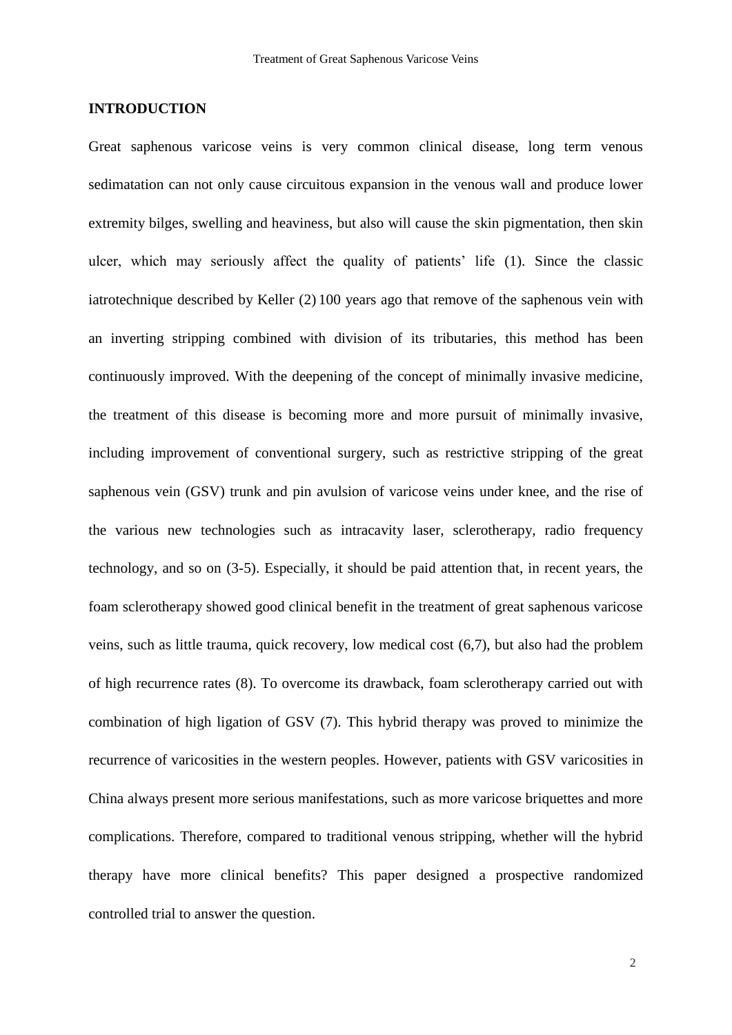# **INTRODUCTION**

Great saphenous varicose veins is very common clinical disease, long term venous sedimatation can not only cause circuitous expansion in the venous wall and produce lower extremity bilges, swelling and heaviness, but also will cause the skin pigmentation, then skin ulcer, which may seriously affect the quality of patients' life (1). Since the classic iatrotechnique described by Keller (2) 100 years ago that remove of the saphenous vein with an inverting stripping combined with division of its tributaries, this method has been continuously improved. With the deepening of the concept of minimally invasive medicine, the treatment of this disease is becoming more and more pursuit of minimally invasive, including improvement of conventional surgery, such as restrictive stripping of the great saphenous vein (GSV) trunk and pin avulsion of varicose veins under knee, and the rise of the various new technologies such as intracavity laser, sclerotherapy, radio frequency technology, and so on (3-5). Especially, it should be paid attention that, in recent years, the foam sclerotherapy showed good clinical benefit in the treatment of great saphenous varicose veins, such as little trauma, quick recovery, low medical cost (6,7), but also had the problem of high recurrence rates (8). To overcome its drawback, foam sclerotherapy carried out with combination of high ligation of GSV (7). This hybrid therapy was proved to minimize the recurrence of varicosities in the western peoples. However, patients with GSV varicosities in China always present more serious manifestations, such as more varicose briquettes and more complications. Therefore, compared to traditional venous stripping, whether will the hybrid therapy have more clinical benefits? This paper designed a prospective randomized controlled trial to answer the question.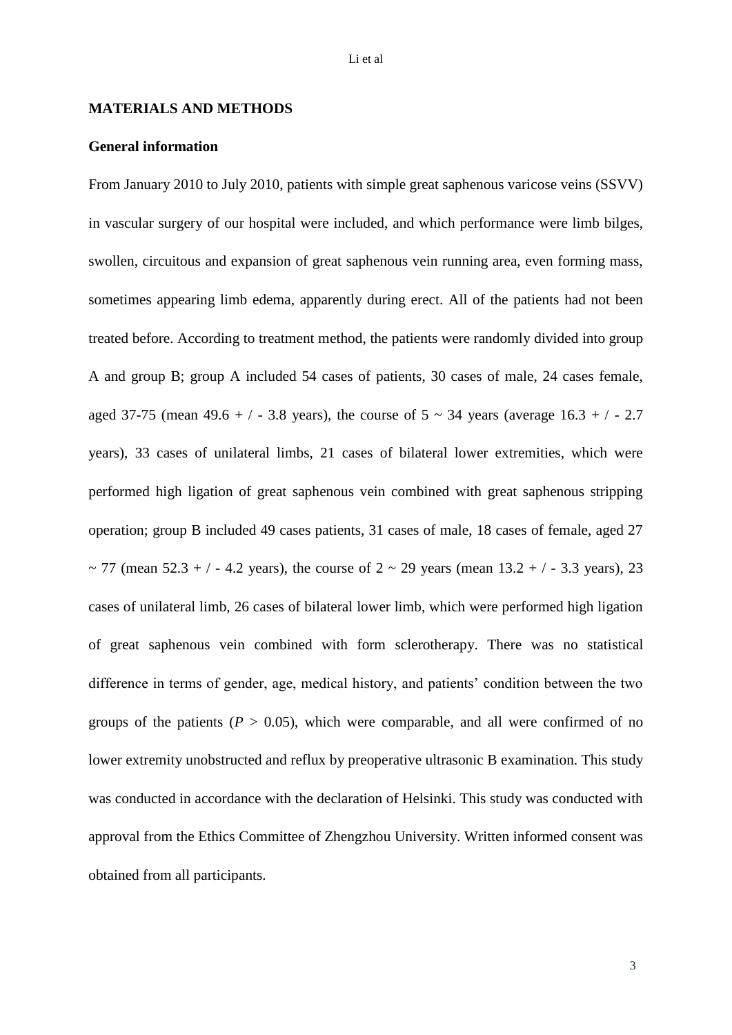#### **MATERIALS AND METHODS**

#### **General information**

From January 2010 to July 2010, patients with simple great saphenous varicose veins (SSVV) in vascular surgery of our hospital were included, and which performance were limb bilges, swollen, circuitous and expansion of great saphenous vein running area, even forming mass, sometimes appearing limb edema, apparently during erect. All of the patients had not been treated before. According to treatment method, the patients were randomly divided into group A and group B; group A included 54 cases of patients, 30 cases of male, 24 cases female, aged 37-75 (mean 49.6 + / - 3.8 years), the course of  $5 \sim 34$  years (average 16.3 + / - 2.7 years), 33 cases of unilateral limbs, 21 cases of bilateral lower extremities, which were performed high ligation of great saphenous vein combined with great saphenous stripping operation; group B included 49 cases patients, 31 cases of male, 18 cases of female, aged 27 ~ 77 (mean  $52.3 + / - 4.2$  years), the course of  $2 \sim 29$  years (mean  $13.2 + / - 3.3$  years), 23 cases of unilateral limb, 26 cases of bilateral lower limb, which were performed high ligation of great saphenous vein combined with form sclerotherapy. There was no statistical difference in terms of gender, age, medical history, and patients' condition between the two groups of the patients ( $P > 0.05$ ), which were comparable, and all were confirmed of no lower extremity unobstructed and reflux by preoperative ultrasonic B examination. This study was conducted in accordance with the declaration of Helsinki. This study was conducted with approval from the Ethics Committee of Zhengzhou University. Written informed consent was obtained from all participants.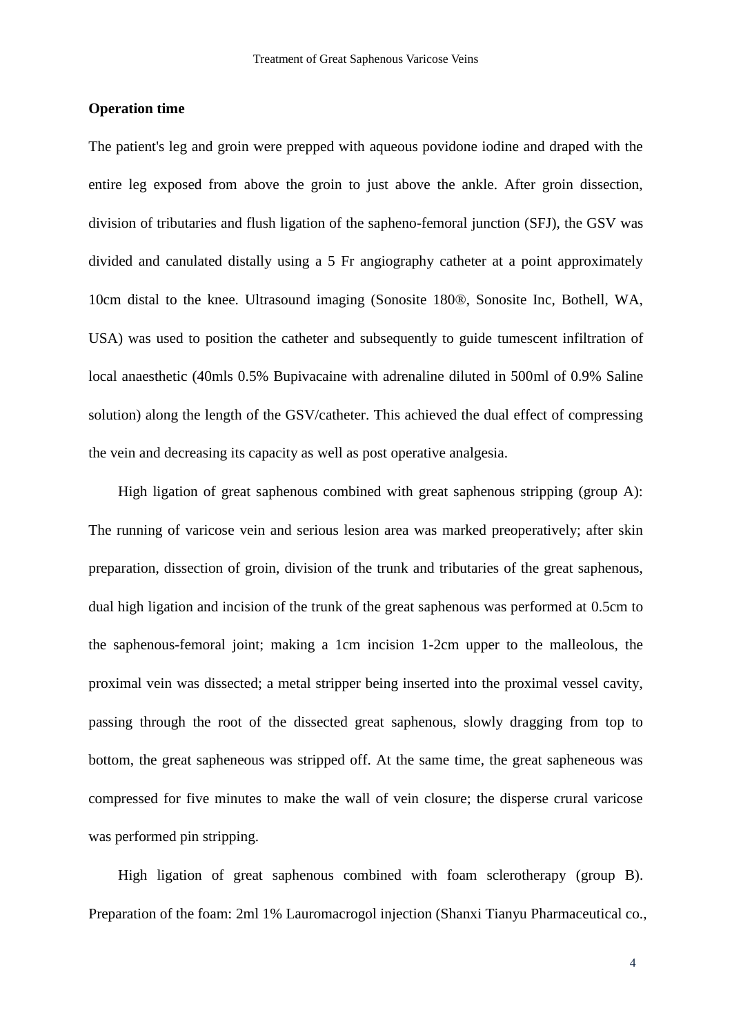#### **Operation time**

The patient's leg and groin were prepped with aqueous povidone iodine and draped with the entire leg exposed from above the groin to just above the ankle. After groin dissection, division of tributaries and flush ligation of the sapheno-femoral junction (SFJ), the GSV was divided and canulated distally using a 5 Fr angiography catheter at a point approximately 10cm distal to the knee. Ultrasound imaging (Sonosite 180®, Sonosite Inc, Bothell, WA, USA) was used to position the catheter and subsequently to guide tumescent infiltration of local anaesthetic (40mls 0.5% Bupivacaine with adrenaline diluted in 500ml of 0.9% Saline solution) along the length of the GSV/catheter. This achieved the dual effect of compressing the vein and decreasing its capacity as well as post operative analgesia.

High ligation of great saphenous combined with great saphenous stripping (group A): The running of varicose vein and serious lesion area was marked preoperatively; after skin preparation, dissection of groin, division of the trunk and tributaries of the great saphenous, dual high ligation and incision of the trunk of the great saphenous was performed at 0.5cm to the saphenous-femoral joint; making a 1cm incision 1-2cm upper to the malleolous, the proximal vein was dissected; a metal stripper being inserted into the proximal vessel cavity, passing through the root of the dissected great saphenous, slowly dragging from top to bottom, the great sapheneous was stripped off. At the same time, the great sapheneous was compressed for five minutes to make the wall of vein closure; the disperse crural varicose was performed pin stripping.

High ligation of great saphenous combined with foam sclerotherapy (group B). Preparation of the foam: 2ml 1% Lauromacrogol injection (Shanxi Tianyu Pharmaceutical co.,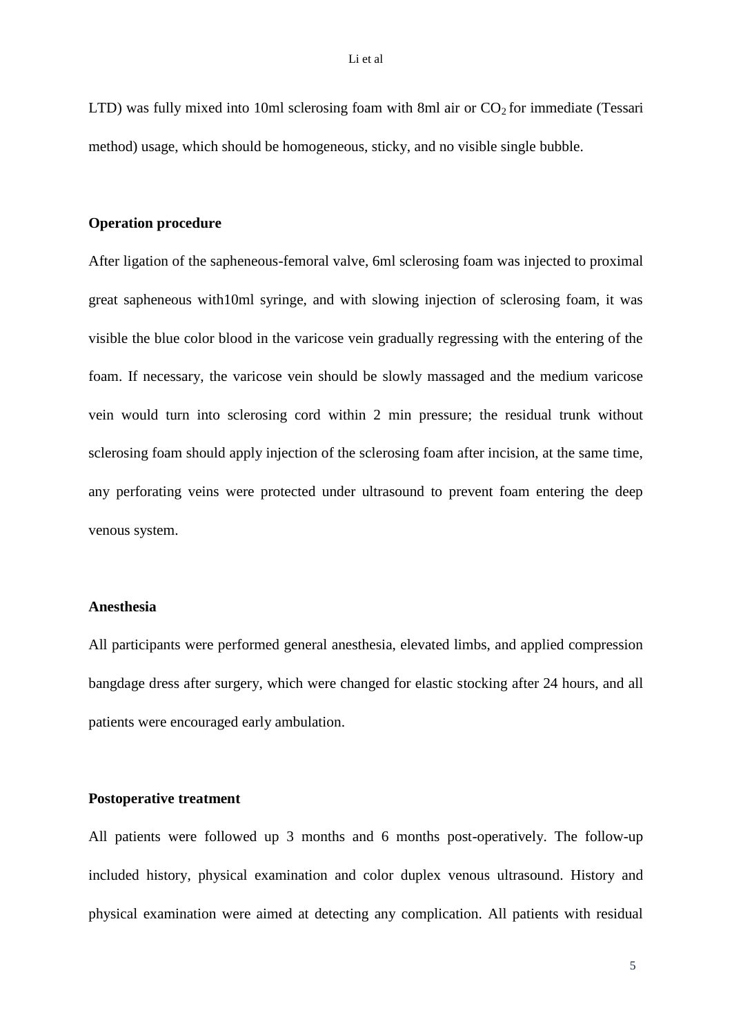LTD) was fully mixed into 10ml sclerosing foam with 8ml air or  $CO<sub>2</sub>$  for immediate (Tessari method) usage, which should be homogeneous, sticky, and no visible single bubble.

# **Operation procedure**

After ligation of the sapheneous-femoral valve, 6ml sclerosing foam was injected to proximal great sapheneous with10ml syringe, and with slowing injection of sclerosing foam, it was visible the blue color blood in the varicose vein gradually regressing with the entering of the foam. If necessary, the varicose vein should be slowly massaged and the medium varicose vein would turn into sclerosing cord within 2 min pressure; the residual trunk without sclerosing foam should apply injection of the sclerosing foam after incision, at the same time, any perforating veins were protected under ultrasound to prevent foam entering the deep venous system.

#### **Anesthesia**

All participants were performed general anesthesia, elevated limbs, and applied compression bangdage dress after surgery, which were changed for elastic stocking after 24 hours, and all patients were encouraged early ambulation.

#### **Postoperative treatment**

All patients were followed up 3 months and 6 months post-operatively. The follow-up included history, physical examination and color duplex venous ultrasound. History and physical examination were aimed at detecting any complication. All patients with residual

5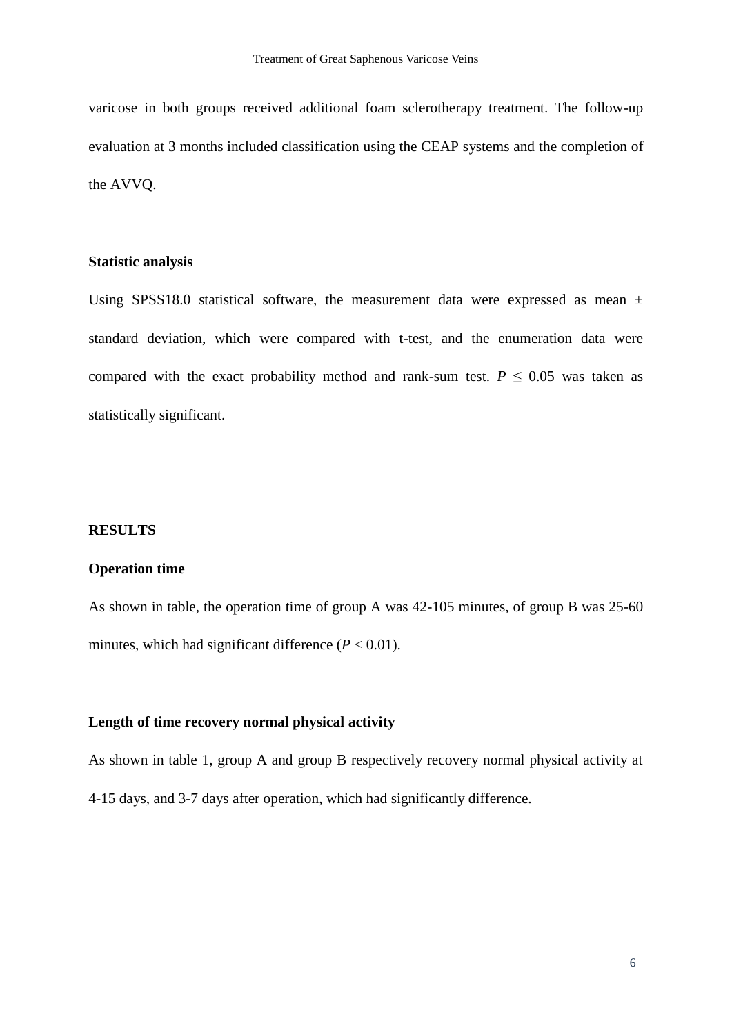varicose in both groups received additional foam sclerotherapy treatment. The follow-up evaluation at 3 months included classification using the CEAP systems and the completion of the AVVQ.

#### **Statistic analysis**

Using SPSS18.0 statistical software, the measurement data were expressed as mean  $\pm$ standard deviation, which were compared with t-test, and the enumeration data were compared with the exact probability method and rank-sum test.  $P \leq 0.05$  was taken as statistically significant.

# **RESULTS**

#### **Operation time**

As shown in table, the operation time of group A was 42-105 minutes, of group B was 25-60 minutes, which had significant difference  $(P < 0.01)$ .

# **Length of time recovery normal physical activity**

As shown in table 1, group A and group B respectively recovery normal physical activity at 4-15 days, and 3-7 days after operation, which had significantly difference.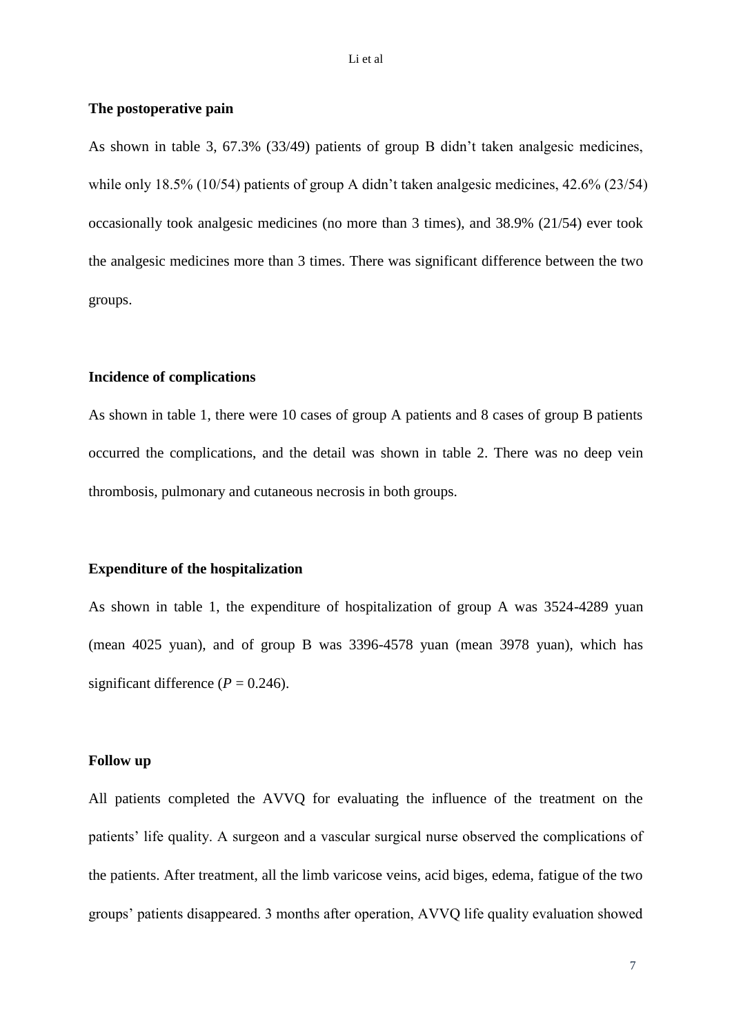#### **The postoperative pain**

As shown in table 3, 67.3% (33/49) patients of group B didn't taken analgesic medicines, while only 18.5% (10/54) patients of group A didn't taken analgesic medicines, 42.6% (23/54) occasionally took analgesic medicines (no more than 3 times), and 38.9% (21/54) ever took the analgesic medicines more than 3 times. There was significant difference between the two groups.

#### **Incidence of complications**

As shown in table 1, there were 10 cases of group A patients and 8 cases of group B patients occurred the complications, and the detail was shown in table 2. There was no deep vein thrombosis, pulmonary and cutaneous necrosis in both groups.

#### **Expenditure of the hospitalization**

As shown in table 1, the expenditure of hospitalization of group A was 3524-4289 yuan (mean 4025 yuan), and of group B was 3396-4578 yuan (mean 3978 yuan), which has significant difference  $(P = 0.246)$ .

# **Follow up**

All patients completed the AVVQ for evaluating the influence of the treatment on the patients' life quality. A surgeon and a vascular surgical nurse observed the complications of the patients. After treatment, all the limb varicose veins, acid biges, edema, fatigue of the two groups' patients disappeared. 3 months after operation, AVVQ life quality evaluation showed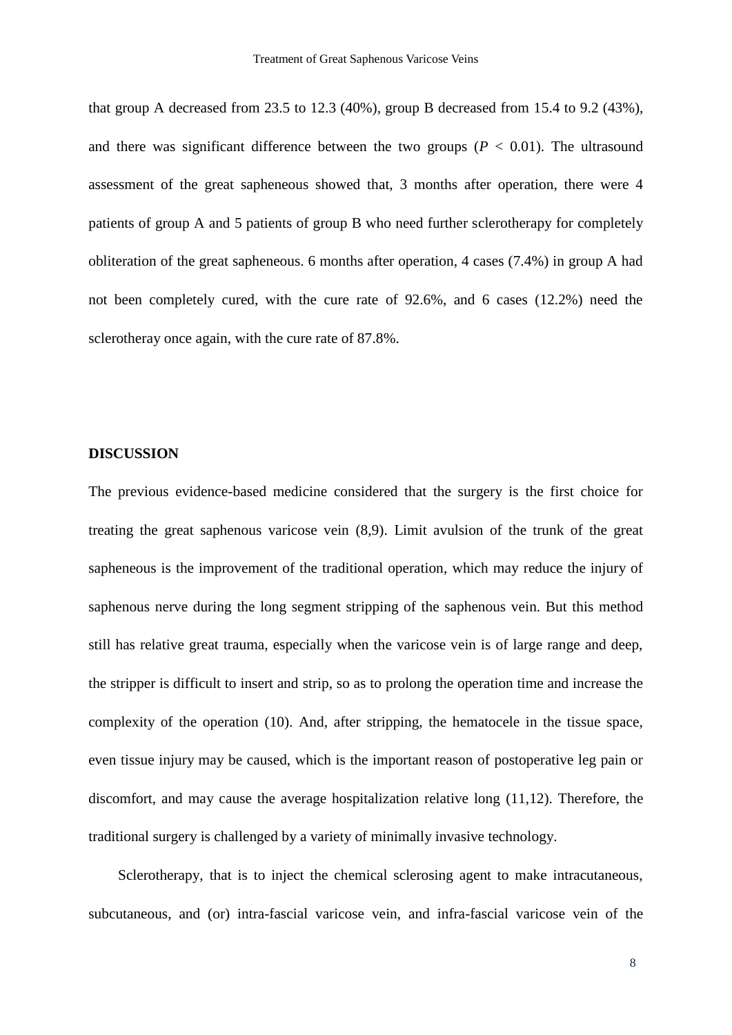that group A decreased from 23.5 to 12.3 (40%), group B decreased from 15.4 to 9.2 (43%), and there was significant difference between the two groups  $(P < 0.01)$ . The ultrasound assessment of the great sapheneous showed that, 3 months after operation, there were 4 patients of group A and 5 patients of group B who need further sclerotherapy for completely obliteration of the great sapheneous. 6 months after operation, 4 cases (7.4%) in group A had not been completely cured, with the cure rate of 92.6%, and 6 cases (12.2%) need the sclerotheray once again, with the cure rate of 87.8%.

# **DISCUSSION**

The previous evidence-based medicine considered that the surgery is the first choice for treating the great saphenous varicose vein (8,9). Limit avulsion of the trunk of the great sapheneous is the improvement of the traditional operation, which may reduce the injury of saphenous nerve during the long segment stripping of the saphenous vein. But this method still has relative great trauma, especially when the varicose vein is of large range and deep, the stripper is difficult to insert and strip, so as to prolong the operation time and increase the complexity of the operation (10). And, after stripping, the hematocele in the tissue space, even tissue injury may be caused, which is the important reason of postoperative leg pain or discomfort, and may cause the average hospitalization relative long (11,12). Therefore, the traditional surgery is challenged by a variety of minimally invasive technology.

Sclerotherapy, that is to inject the chemical sclerosing agent to make intracutaneous, subcutaneous, and (or) intra-fascial varicose vein, and infra-fascial varicose vein of the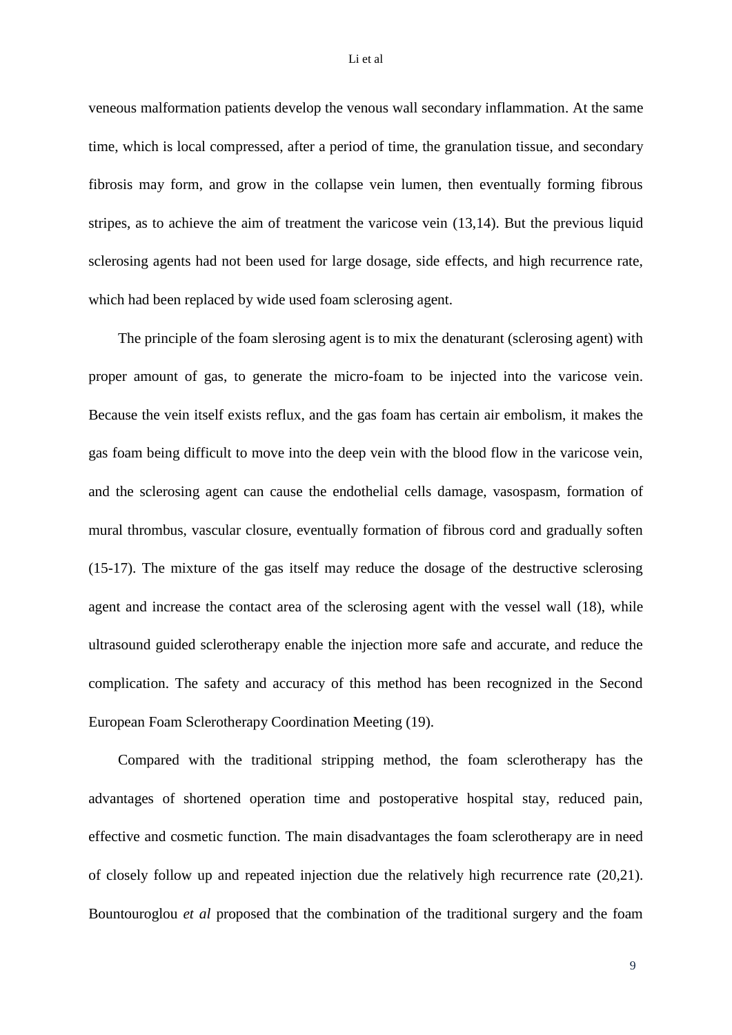#### Li et al

veneous malformation patients develop the venous wall secondary inflammation. At the same time, which is local compressed, after a period of time, the granulation tissue, and secondary fibrosis may form, and grow in the collapse vein lumen, then eventually forming fibrous stripes, as to achieve the aim of treatment the varicose vein (13,14). But the previous liquid sclerosing agents had not been used for large dosage, side effects, and high recurrence rate, which had been replaced by wide used foam sclerosing agent.

The principle of the foam slerosing agent is to mix the denaturant (sclerosing agent) with proper amount of gas, to generate the micro-foam to be injected into the varicose vein. Because the vein itself exists reflux, and the gas foam has certain air embolism, it makes the gas foam being difficult to move into the deep vein with the blood flow in the varicose vein, and the sclerosing agent can cause the endothelial cells damage, vasospasm, formation of mural thrombus, vascular closure, eventually formation of fibrous cord and gradually soften (15-17). The mixture of the gas itself may reduce the dosage of the destructive sclerosing agent and increase the contact area of the sclerosing agent with the vessel wall (18), while ultrasound guided sclerotherapy enable the injection more safe and accurate, and reduce the complication. The safety and accuracy of this method has been recognized in the Second European Foam Sclerotherapy Coordination Meeting (19).

Compared with the traditional stripping method, the foam sclerotherapy has the advantages of shortened operation time and postoperative hospital stay, reduced pain, effective and cosmetic function. The main disadvantages the foam sclerotherapy are in need of closely follow up and repeated injection due the relatively high recurrence rate (20,21). Bountouroglou *et al* proposed that the combination of the traditional surgery and the foam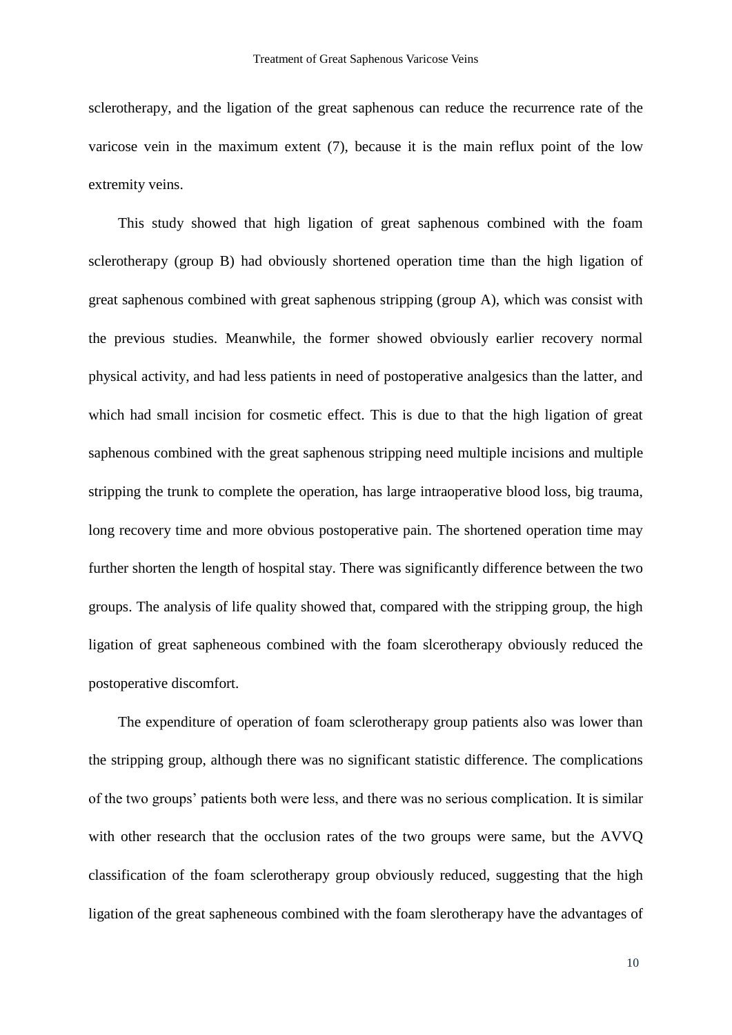sclerotherapy, and the ligation of the great saphenous can reduce the recurrence rate of the varicose vein in the maximum extent (7), because it is the main reflux point of the low extremity veins.

This study showed that high ligation of great saphenous combined with the foam sclerotherapy (group B) had obviously shortened operation time than the high ligation of great saphenous combined with great saphenous stripping (group A), which was consist with the previous studies. Meanwhile, the former showed obviously earlier recovery normal physical activity, and had less patients in need of postoperative analgesics than the latter, and which had small incision for cosmetic effect. This is due to that the high ligation of great saphenous combined with the great saphenous stripping need multiple incisions and multiple stripping the trunk to complete the operation, has large intraoperative blood loss, big trauma, long recovery time and more obvious postoperative pain. The shortened operation time may further shorten the length of hospital stay. There was significantly difference between the two groups. The analysis of life quality showed that, compared with the stripping group, the high ligation of great sapheneous combined with the foam slcerotherapy obviously reduced the postoperative discomfort.

The expenditure of operation of foam sclerotherapy group patients also was lower than the stripping group, although there was no significant statistic difference. The complications of the two groups' patients both were less, and there was no serious complication. It is similar with other research that the occlusion rates of the two groups were same, but the AVVQ classification of the foam sclerotherapy group obviously reduced, suggesting that the high ligation of the great sapheneous combined with the foam slerotherapy have the advantages of

10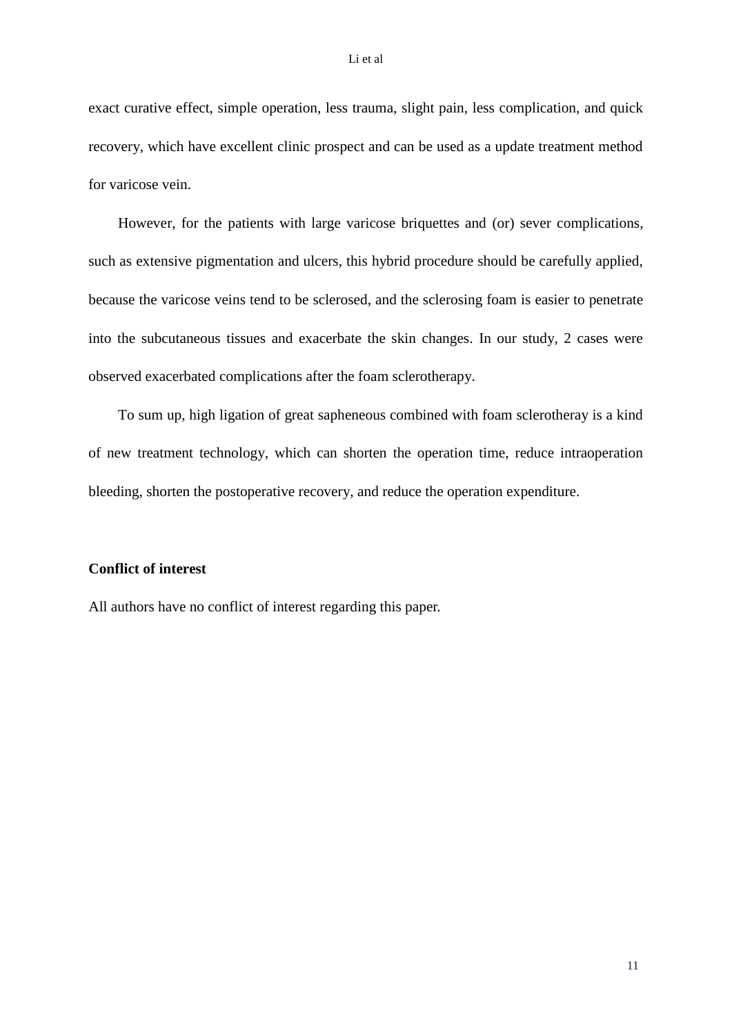exact curative effect, simple operation, less trauma, slight pain, less complication, and quick recovery, which have excellent clinic prospect and can be used as a update treatment method for varicose vein.

However, for the patients with large varicose briquettes and (or) sever complications, such as extensive pigmentation and ulcers, this hybrid procedure should be carefully applied, because the varicose veins tend to be sclerosed, and the sclerosing foam is easier to penetrate into the subcutaneous tissues and exacerbate the skin changes. In our study, 2 cases were observed exacerbated complications after the foam sclerotherapy.

To sum up, high ligation of great sapheneous combined with foam sclerotheray is a kind of new treatment technology, which can shorten the operation time, reduce intraoperation bleeding, shorten the postoperative recovery, and reduce the operation expenditure.

# **Conflict of interest**

All authors have no conflict of interest regarding this paper.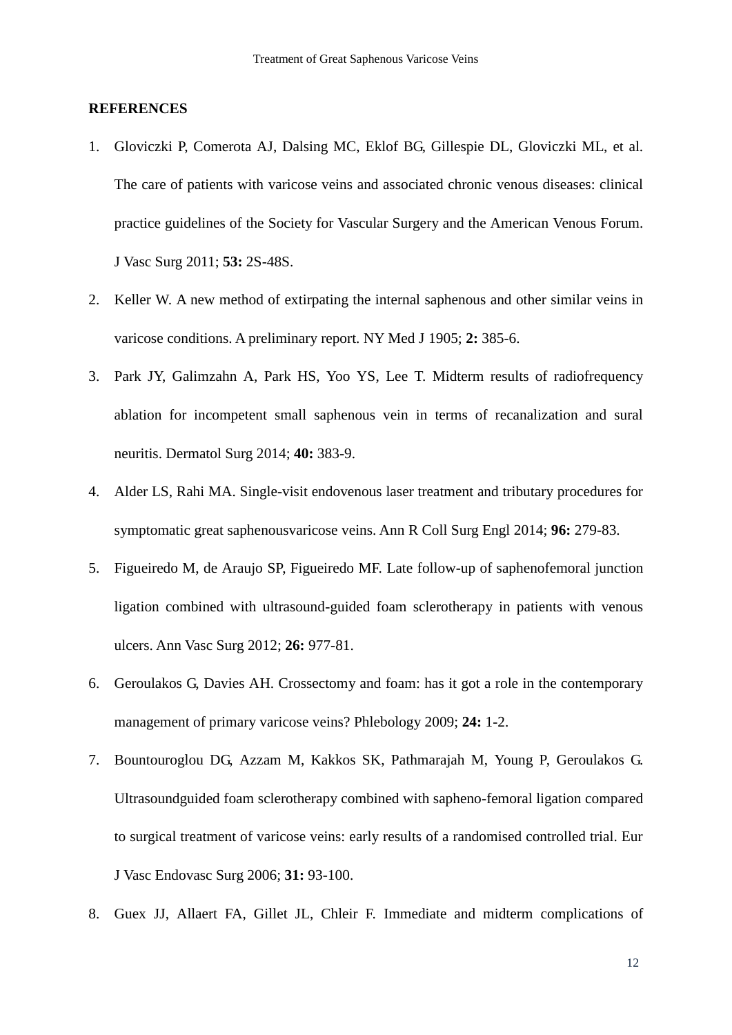#### **REFERENCES**

- 1. Gloviczki P, Comerota AJ, Dalsing MC, Eklof BG, Gillespie DL, Gloviczki ML, et al. The care of patients with varicose veins and associated chronic venous diseases: clinical practice guidelines of the Society for Vascular Surgery and the American Venous Forum. J Vasc Surg 2011; **53:** 2S-48S.
- 2. Keller W. A new method of extirpating the internal saphenous and other similar veins in varicose conditions. A preliminary report. NY Med J 1905; **2:** 385-6.
- 3. Park JY, Galimzahn A, Park HS, Yoo YS, Lee T. Midterm results of radiofrequency ablation for incompetent small saphenous vein in terms of recanalization and sural neuritis. Dermatol Surg 2014; **40:** 383-9.
- 4. Alder LS, Rahi MA. Single-visit endovenous laser treatment and tributary procedures for symptomatic great saphenousvaricose veins. Ann R Coll Surg Engl 2014; **96:** 279-83.
- 5. Figueiredo M, de Araujo SP, Figueiredo MF. Late follow-up of saphenofemoral junction ligation combined with ultrasound-guided foam sclerotherapy in patients with venous ulcers. Ann Vasc Surg 2012; **26:** 977-81.
- 6. Geroulakos G, Davies AH. Crossectomy and foam: has it got a role in the contemporary management of primary varicose veins? Phlebology 2009; **24:** 1-2.
- 7. Bountouroglou DG, Azzam M, Kakkos SK, Pathmarajah M, Young P, Geroulakos G. Ultrasoundguided foam sclerotherapy combined with sapheno-femoral ligation compared to surgical treatment of varicose veins: early results of a randomised controlled trial. Eur J Vasc Endovasc Surg 2006; **31:** 93-100.
- 8. Guex JJ, Allaert FA, Gillet JL, Chleir F. Immediate and midterm complications of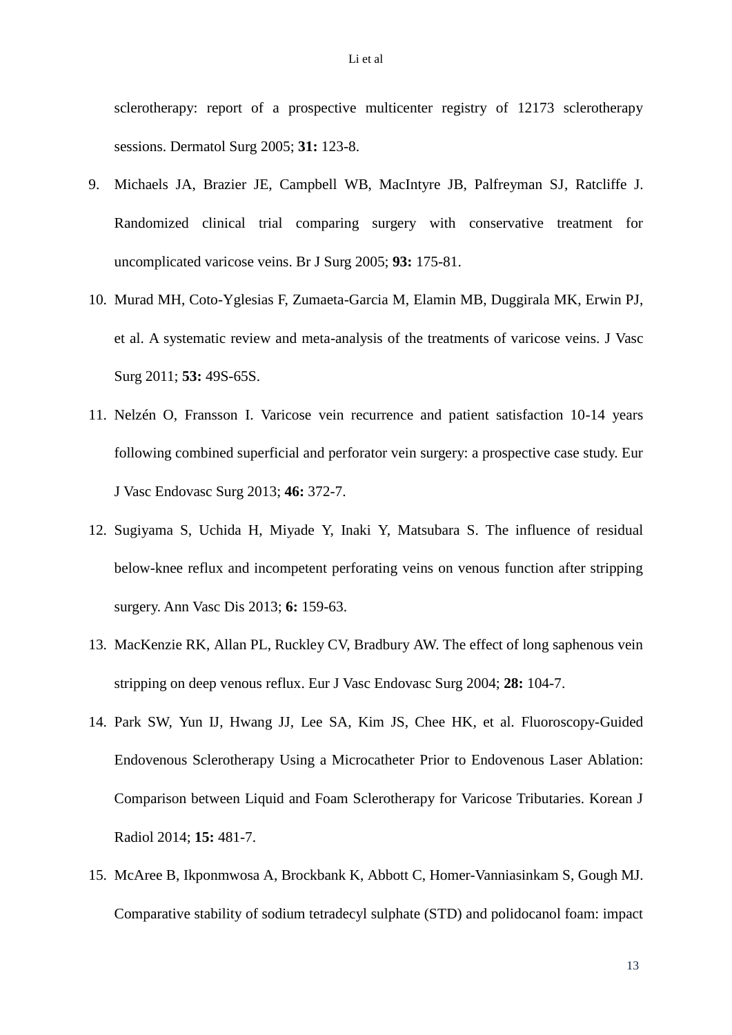sclerotherapy: report of a prospective multicenter registry of 12173 sclerotherapy sessions. Dermatol Surg 2005; **31:** 123-8.

- 9. Michaels JA, Brazier JE, Campbell WB, MacIntyre JB, Palfreyman SJ, Ratcliffe J. Randomized clinical trial comparing surgery with conservative treatment for uncomplicated varicose veins. Br J Surg 2005; **93:** 175-81.
- 10. Murad MH, Coto-Yglesias F, Zumaeta-Garcia M, Elamin MB, Duggirala MK, Erwin PJ, et al. A systematic review and meta-analysis of the treatments of varicose veins. J Vasc Surg 2011; **53:** 49S-65S.
- 11. Nelzén O, Fransson I. Varicose vein recurrence and patient satisfaction 10-14 years following combined superficial and perforator vein surgery: a prospective case study. Eur J Vasc Endovasc Surg 2013; **46:** 372-7.
- 12. Sugiyama S, Uchida H, Miyade Y, Inaki Y, Matsubara S. The influence of residual below-knee reflux and incompetent perforating veins on venous function after stripping surgery. Ann Vasc Dis 2013; **6:** 159-63.
- 13. MacKenzie RK, Allan PL, Ruckley CV, Bradbury AW. The effect of long saphenous vein stripping on deep venous reflux. Eur J Vasc Endovasc Surg 2004; **28:** 104-7.
- 14. Park SW, Yun IJ, Hwang JJ, Lee SA, Kim JS, Chee HK, et al. Fluoroscopy-Guided Endovenous Sclerotherapy Using a Microcatheter Prior to Endovenous Laser Ablation: Comparison between Liquid and Foam Sclerotherapy for Varicose Tributaries. Korean J Radiol 2014; **15:** 481-7.
- 15. McAree B, Ikponmwosa A, Brockbank K, Abbott C, Homer-Vanniasinkam S, Gough MJ. Comparative stability of sodium tetradecyl sulphate (STD) and polidocanol foam: impact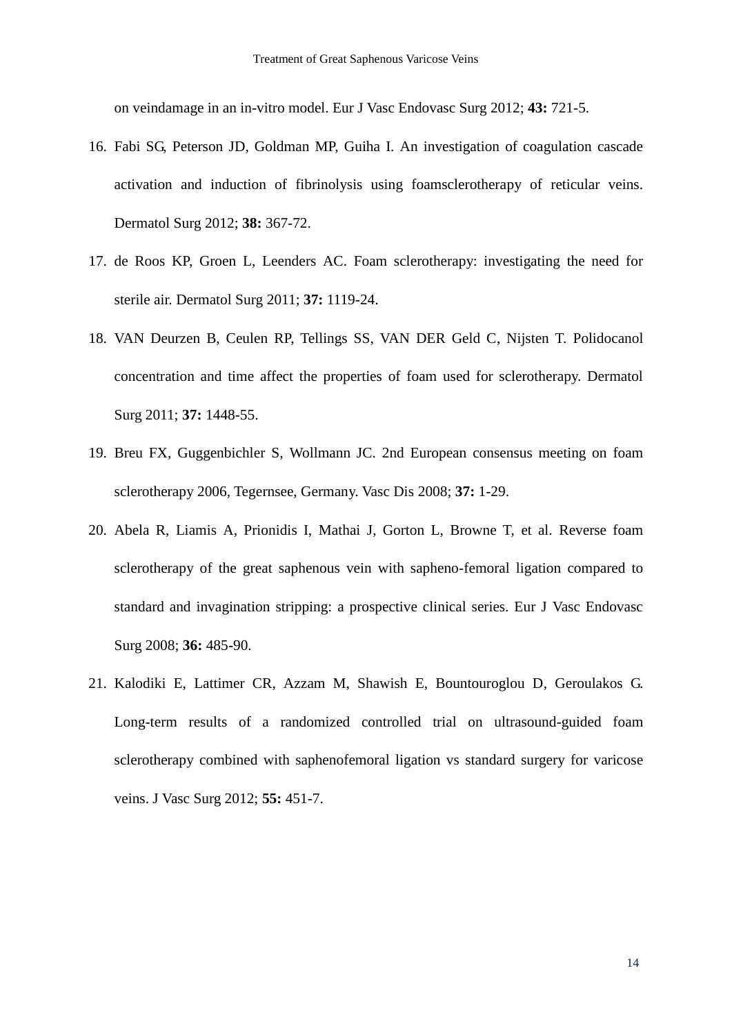on veindamage in an in-vitro model. Eur J Vasc Endovasc Surg 2012; **43:** 721-5.

- 16. Fabi SG, Peterson JD, Goldman MP, Guiha I. An investigation of coagulation cascade activation and induction of fibrinolysis using foamsclerotherapy of reticular veins. Dermatol Surg 2012; **38:** 367-72.
- 17. de Roos KP, Groen L, Leenders AC. Foam sclerotherapy: investigating the need for sterile air. Dermatol Surg 2011; **37:** 1119-24.
- 18. VAN Deurzen B, Ceulen RP, Tellings SS, VAN DER Geld C, Nijsten T. Polidocanol concentration and time affect the properties of foam used for sclerotherapy. Dermatol Surg 2011; **37:** 1448-55.
- 19. Breu FX, Guggenbichler S, Wollmann JC. 2nd European consensus meeting on foam sclerotherapy 2006, Tegernsee, Germany. Vasc Dis 2008; **37:** 1-29.
- 20. Abela R, Liamis A, Prionidis I, Mathai J, Gorton L, Browne T, et al. Reverse foam sclerotherapy of the great saphenous vein with sapheno-femoral ligation compared to standard and invagination stripping: a prospective clinical series. Eur J Vasc Endovasc Surg 2008; **36:** 485-90.
- 21. Kalodiki E, Lattimer CR, Azzam M, Shawish E, Bountouroglou D, Geroulakos G. Long-term results of a randomized controlled trial on ultrasound-guided foam sclerotherapy combined with saphenofemoral ligation vs standard surgery for varicose veins. J Vasc Surg 2012; **55:** 451-7.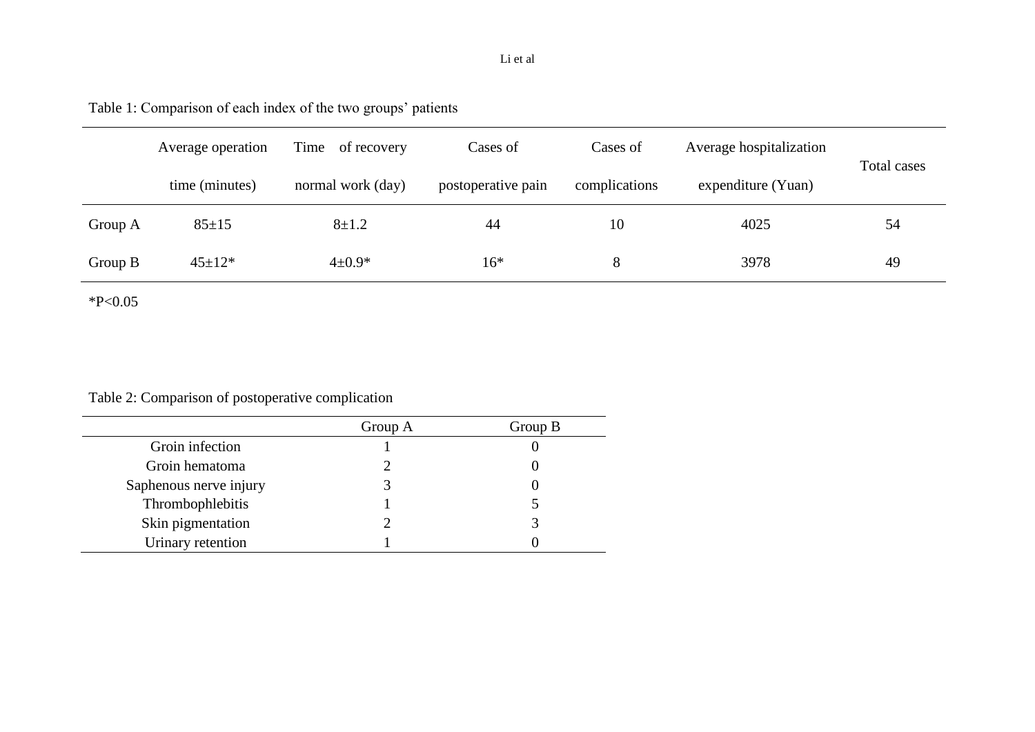# Li et al

Table 1: Comparison of each index of the two groups' patients

|           | Average operation | Time of recovery  | Cases of           | Cases of      | Average hospitalization | Total cases |  |
|-----------|-------------------|-------------------|--------------------|---------------|-------------------------|-------------|--|
|           | time (minutes)    | normal work (day) | postoperative pain | complications | expenditure (Yuan)      |             |  |
| Group A   | $85 \pm 15$       | $8 + 1.2$         | 44                 | 10            | 4025                    | 54          |  |
| Group $B$ | $45 \pm 12*$      | $4 \pm 0.9*$      | $16*$              | 8             | 3978                    | 49          |  |

 $*P<0.05$ 

Table 2: Comparison of postoperative complication

|                        | Group A | Group B |
|------------------------|---------|---------|
| Groin infection        |         |         |
| Groin hematoma         |         |         |
| Saphenous nerve injury |         |         |
| Thrombophlebitis       |         |         |
| Skin pigmentation      |         |         |
| Urinary retention      |         |         |